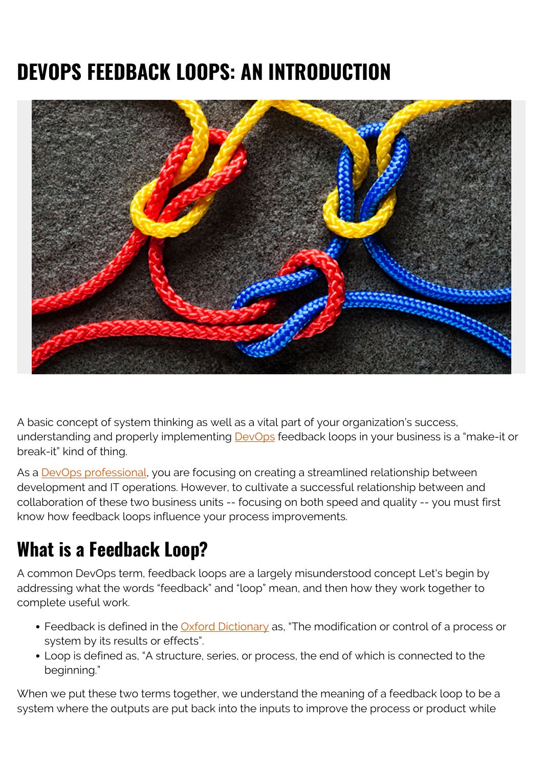# **DEVOPS FEEDBACK LOOPS: AN INTRODUCTION**



A basic concept of system thinking as well as a vital part of your organization's success, understanding and properly implementing [DevOps](https://blogs.bmc.com/blogs/devops-basics-introduction/) feedback loops in your business is a "make-it or break-it" kind of thing.

As a [DevOps professional,](https://blogs.bmc.com/blogs/devops-engineer-roles-and-responsibilities/) you are focusing on creating a streamlined relationship between development and IT operations. However, to cultivate a successful relationship between and collaboration of these two business units -- focusing on both speed and quality -- you must first know how feedback loops influence your process improvements.

# **What is a Feedback Loop?**

A common DevOps term, feedback loops are a largely misunderstood concept Let's begin by addressing what the words "feedback" and "loop" mean, and then how they work together to complete useful work.

- Feedback is defined in the **Oxford Dictionary** as, "The modification or control of a process or system by its results or effects".
- Loop is defined as, "A structure, series, or process, the end of which is connected to the beginning."

When we put these two terms together, we understand the meaning of a feedback loop to be a system where the outputs are put back into the inputs to improve the process or product while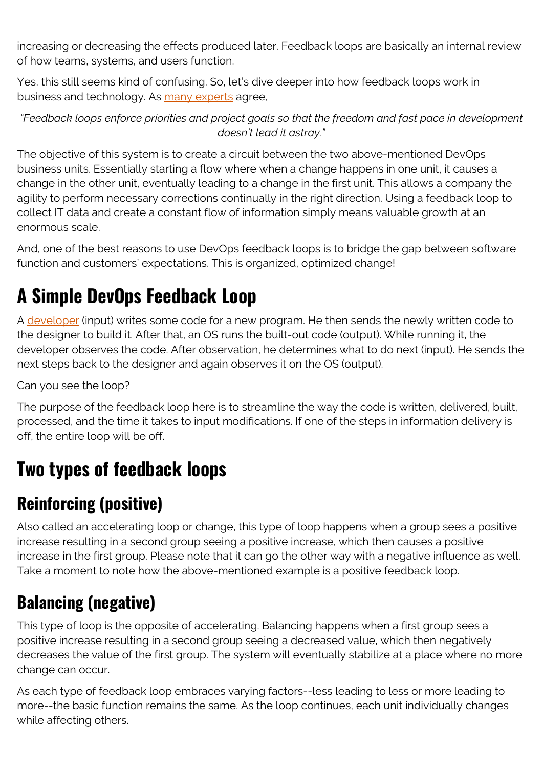increasing or decreasing the effects produced later. Feedback loops are basically an internal review of how teams, systems, and users function.

Yes, this still seems kind of confusing. So, let's dive deeper into how feedback loops work in business and technology. As [many experts](https://searchitoperations.techtarget.com/tip/A-proper-DevOps-feedback-loop-includes-business-leaders) agree,

*"Feedback loops enforce priorities and project goals so that the freedom and fast pace in development doesn't lead it astray."*

The objective of this system is to create a circuit between the two above-mentioned DevOps business units. Essentially starting a flow where when a change happens in one unit, it causes a change in the other unit, eventually leading to a change in the first unit. This allows a company the agility to perform necessary corrections continually in the right direction. Using a feedback loop to collect IT data and create a constant flow of information simply means valuable growth at an enormous scale.

And, one of the best reasons to use DevOps feedback loops is to bridge the gap between software function and customers' expectations. This is organized, optimized change!

## **A Simple DevOps Feedback Loop**

A [developer](https://blogs.bmc.com/blogs/application-developer-roles-responsibilities/) (input) writes some code for a new program. He then sends the newly written code to the designer to build it. After that, an OS runs the built-out code (output). While running it, the developer observes the code. After observation, he determines what to do next (input). He sends the next steps back to the designer and again observes it on the OS (output).

Can you see the loop?

The purpose of the feedback loop here is to streamline the way the code is written, delivered, built, processed, and the time it takes to input modifications. If one of the steps in information delivery is off, the entire loop will be off.

### **Two types of feedback loops**

### **Reinforcing (positive)**

Also called an accelerating loop or change, this type of loop happens when a group sees a positive increase resulting in a second group seeing a positive increase, which then causes a positive increase in the first group. Please note that it can go the other way with a negative influence as well. Take a moment to note how the above-mentioned example is a positive feedback loop.

#### **Balancing (negative)**

This type of loop is the opposite of accelerating. Balancing happens when a first group sees a positive increase resulting in a second group seeing a decreased value, which then negatively decreases the value of the first group. The system will eventually stabilize at a place where no more change can occur.

As each type of feedback loop embraces varying factors--less leading to less or more leading to more--the basic function remains the same. As the loop continues, each unit individually changes while affecting others.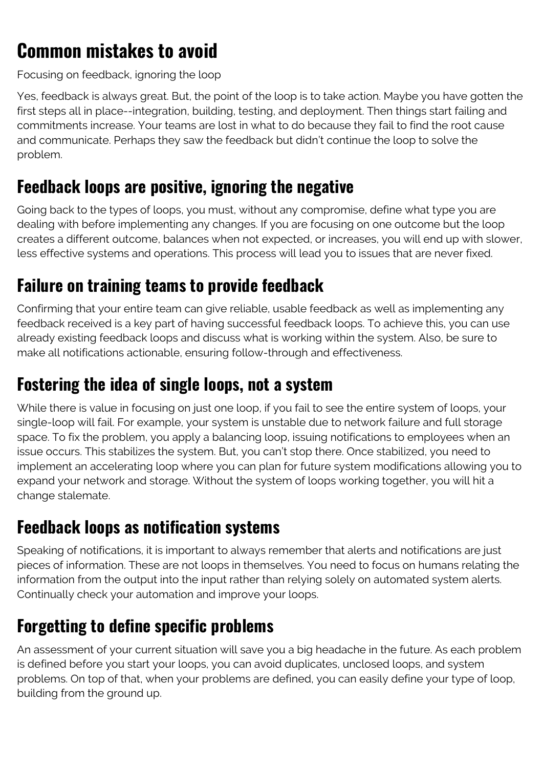### **Common mistakes to avoid**

Focusing on feedback, ignoring the loop

Yes, feedback is always great. But, the point of the loop is to take action. Maybe you have gotten the first steps all in place--integration, building, testing, and deployment. Then things start failing and commitments increase. Your teams are lost in what to do because they fail to find the root cause and communicate. Perhaps they saw the feedback but didn't continue the loop to solve the problem.

#### **Feedback loops are positive, ignoring the negative**

Going back to the types of loops, you must, without any compromise, define what type you are dealing with before implementing any changes. If you are focusing on one outcome but the loop creates a different outcome, balances when not expected, or increases, you will end up with slower, less effective systems and operations. This process will lead you to issues that are never fixed.

#### **Failure on training teams to provide feedback**

Confirming that your entire team can give reliable, usable feedback as well as implementing any feedback received is a key part of having successful feedback loops. To achieve this, you can use already existing feedback loops and discuss what is working within the system. Also, be sure to make all notifications actionable, ensuring follow-through and effectiveness.

#### **Fostering the idea of single loops, not a system**

While there is value in focusing on just one loop, if you fail to see the entire system of loops, your single-loop will fail. For example, your system is unstable due to network failure and full storage space. To fix the problem, you apply a balancing loop, issuing notifications to employees when an issue occurs. This stabilizes the system. But, you can't stop there. Once stabilized, you need to implement an accelerating loop where you can plan for future system modifications allowing you to expand your network and storage. Without the system of loops working together, you will hit a change stalemate.

#### **Feedback loops as notification systems**

Speaking of notifications, it is important to always remember that alerts and notifications are just pieces of information. These are not loops in themselves. You need to focus on humans relating the information from the output into the input rather than relying solely on automated system alerts. Continually check your automation and improve your loops.

#### **Forgetting to define specific problems**

An assessment of your current situation will save you a big headache in the future. As each problem is defined before you start your loops, you can avoid duplicates, unclosed loops, and system problems. On top of that, when your problems are defined, you can easily define your type of loop, building from the ground up.